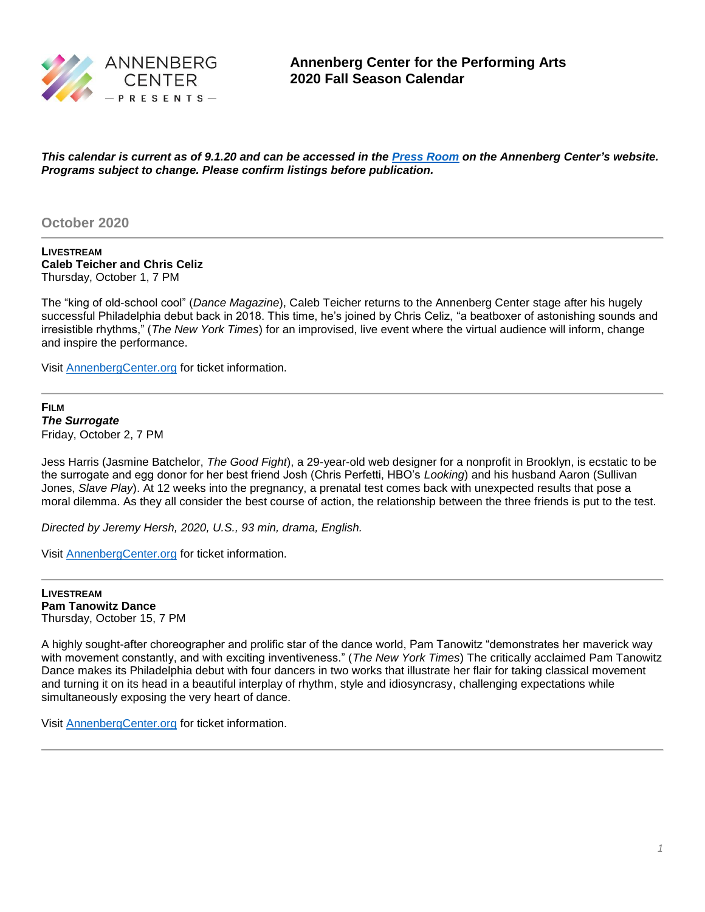

*This calendar is current as of 9.1.20 and can be accessed in the [Press Room](https://annenbergcenter.org/about/pressroom.php) on the Annenberg Center's website. Programs subject to change. Please confirm listings before publication.*

## **October 2020**

**LIVESTREAM Caleb Teicher and Chris Celiz** Thursday, October 1, 7 PM

The "king of old-school cool" (*Dance Magazine*), Caleb Teicher returns to the Annenberg Center stage after his hugely successful Philadelphia debut back in 2018. This time, he's joined by Chris Celiz, "a beatboxer of astonishing sounds and irresistible rhythms," (*The New York Times*) for an improvised, live event where the virtual audience will inform, change and inspire the performance.

Visit [AnnenbergCenter.org](http://www.annenbergcenter.org/) for ticket information.

### **FILM** *The Surrogate* Friday, October 2, 7 PM

Jess Harris (Jasmine Batchelor, *The Good Fight*), a 29-year-old web designer for a nonprofit in Brooklyn, is ecstatic to be the surrogate and egg donor for her best friend Josh (Chris Perfetti, HBO's *Looking*) and his husband Aaron (Sullivan Jones, *Slave Play*). At 12 weeks into the pregnancy, a prenatal test comes back with unexpected results that pose a moral dilemma. As they all consider the best course of action, the relationship between the three friends is put to the test.

*Directed by Jeremy Hersh, 2020, U.S., 93 min, drama, English.*

Visit [AnnenbergCenter.org](http://www.annenbergcenter.org/) for ticket information.

**LIVESTREAM Pam Tanowitz Dance** Thursday, October 15, 7 PM

A highly sought-after choreographer and prolific star of the dance world, Pam Tanowitz "demonstrates her maverick way with movement constantly, and with exciting inventiveness." (*The New York Times*) The critically acclaimed Pam Tanowitz Dance makes its Philadelphia debut with four dancers in two works that illustrate her flair for taking classical movement and turning it on its head in a beautiful interplay of rhythm, style and idiosyncrasy, challenging expectations while simultaneously exposing the very heart of dance.

Visit [AnnenbergCenter.org](http://www.annenbergcenter.org/) for ticket information.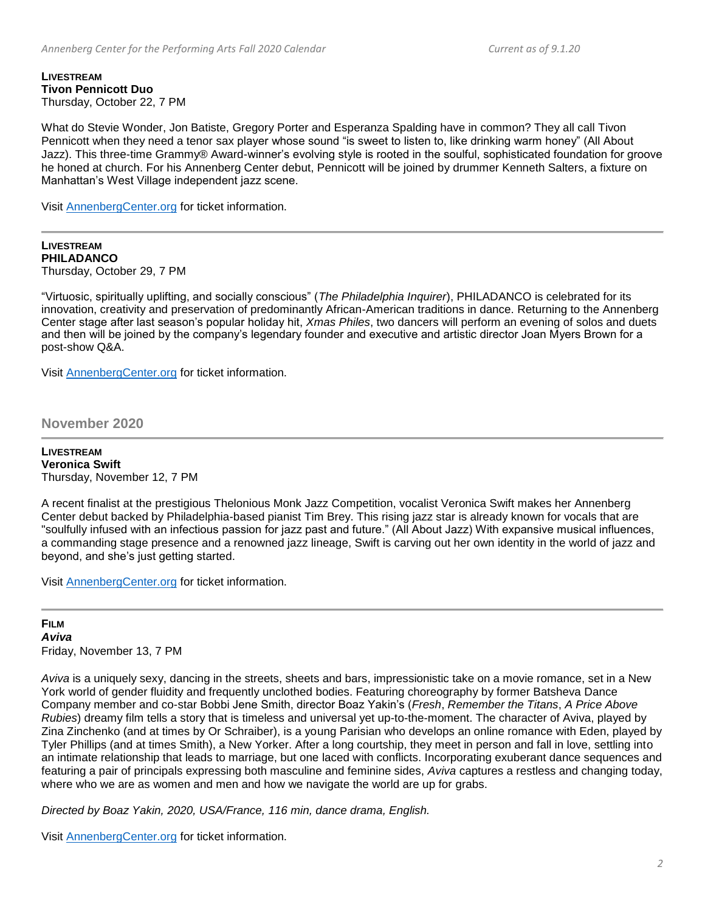#### **LIVESTREAM Tivon Pennicott Duo** Thursday, October 22, 7 PM

What do Stevie Wonder, Jon Batiste, Gregory Porter and Esperanza Spalding have in common? They all call Tivon Pennicott when they need a tenor sax player whose sound "is sweet to listen to, like drinking warm honey" (All About Jazz). This three-time Grammy® Award-winner's evolving style is rooted in the soulful, sophisticated foundation for groove he honed at church. For his Annenberg Center debut, Pennicott will be joined by drummer Kenneth Salters, a fixture on Manhattan's West Village independent jazz scene.

Visit [AnnenbergCenter.org](http://www.annenbergcenter.org/) for ticket information.

**LIVESTREAM PHILADANCO** Thursday, October 29, 7 PM

"Virtuosic, spiritually uplifting, and socially conscious" (*The Philadelphia Inquirer*), PHILADANCO is celebrated for its innovation, creativity and preservation of predominantly African-American traditions in dance. Returning to the Annenberg Center stage after last season's popular holiday hit, *Xmas Philes*, two dancers will perform an evening of solos and duets and then will be joined by the company's legendary founder and executive and artistic director Joan Myers Brown for a post-show Q&A.

Visit [AnnenbergCenter.org](http://www.annenbergcenter.org/) for ticket information.

**November 2020**

**LIVESTREAM Veronica Swift** Thursday, November 12, 7 PM

A recent finalist at the prestigious Thelonious Monk Jazz Competition, vocalist Veronica Swift makes her Annenberg Center debut backed by Philadelphia-based pianist Tim Brey. This rising jazz star is already known for vocals that are "soulfully infused with an infectious passion for jazz past and future." (All About Jazz) With expansive musical influences, a commanding stage presence and a renowned jazz lineage, Swift is carving out her own identity in the world of jazz and beyond, and she's just getting started.

Visit [AnnenbergCenter.org](http://www.annenbergcenter.org/) for ticket information.

## **FILM** *Aviva*  Friday, November 13, 7 PM

*Aviva* is a uniquely sexy, dancing in the streets, sheets and bars, impressionistic take on a movie romance, set in a New York world of gender fluidity and frequently unclothed bodies. Featuring choreography by former Batsheva Dance Company member and co-star Bobbi Jene Smith, director Boaz Yakin's (*Fresh*, *Remember the Titans*, *A Price Above Rubies*) dreamy film tells a story that is timeless and universal yet up-to-the-moment. The character of Aviva, played by Zina Zinchenko (and at times by Or Schraiber), is a young Parisian who develops an online romance with Eden, played by Tyler Phillips (and at times Smith), a New Yorker. After a long courtship, they meet in person and fall in love, settling into an intimate relationship that leads to marriage, but one laced with conflicts. Incorporating exuberant dance sequences and featuring a pair of principals expressing both masculine and feminine sides, *Aviva* captures a restless and changing today, where who we are as women and men and how we navigate the world are up for grabs.

*Directed by Boaz Yakin, 2020, USA/France, 116 min, dance drama, English.*

Visit [AnnenbergCenter.org](http://www.annenbergcenter.org/) for ticket information.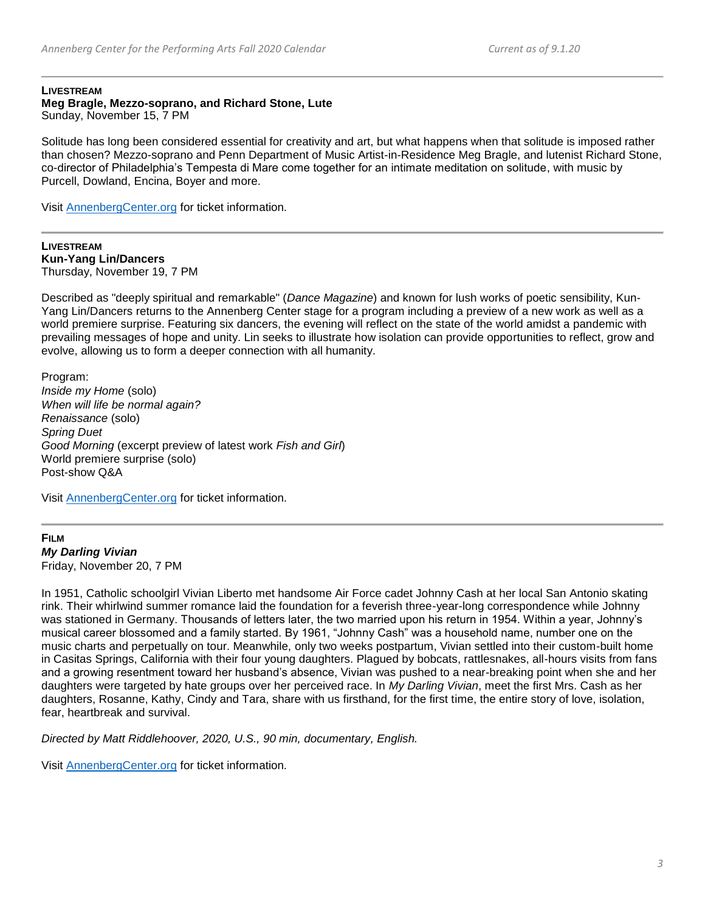#### **LIVESTREAM**

#### **Meg Bragle, Mezzo-soprano, and Richard Stone, Lute** Sunday, November 15, 7 PM

Solitude has long been considered essential for creativity and art, but what happens when that solitude is imposed rather than chosen? Mezzo-soprano and Penn Department of Music Artist-in-Residence Meg Bragle, and lutenist Richard Stone, co-director of Philadelphia's Tempesta di Mare come together for an intimate meditation on solitude, with music by Purcell, Dowland, Encina, Boyer and more.

Visit [AnnenbergCenter.org](http://www.annenbergcenter.org/) for ticket information.

**LIVESTREAM Kun-Yang Lin/Dancers** Thursday, November 19, 7 PM

Described as "deeply spiritual and remarkable" (*Dance Magazine*) and known for lush works of poetic sensibility, Kun-Yang Lin/Dancers returns to the Annenberg Center stage for a program including a preview of a new work as well as a world premiere surprise. Featuring six dancers, the evening will reflect on the state of the world amidst a pandemic with prevailing messages of hope and unity. Lin seeks to illustrate how isolation can provide opportunities to reflect, grow and evolve, allowing us to form a deeper connection with all humanity.

Program: *Inside my Home* (solo) *When will life be normal again? Renaissance* (solo) *Spring Duet Good Morning* (excerpt preview of latest work *Fish and Girl*) World premiere surprise (solo) Post-show Q&A

Visit [AnnenbergCenter.org](http://www.annenbergcenter.org/) for ticket information.

**FILM** *My Darling Vivian* Friday, November 20, 7 PM

In 1951, Catholic schoolgirl Vivian Liberto met handsome Air Force cadet Johnny Cash at her local San Antonio skating rink. Their whirlwind summer romance laid the foundation for a feverish three-year-long correspondence while Johnny was stationed in Germany. Thousands of letters later, the two married upon his return in 1954. Within a year, Johnny's musical career blossomed and a family started. By 1961, "Johnny Cash" was a household name, number one on the music charts and perpetually on tour. Meanwhile, only two weeks postpartum, Vivian settled into their custom-built home in Casitas Springs, California with their four young daughters. Plagued by bobcats, rattlesnakes, all-hours visits from fans and a growing resentment toward her husband's absence, Vivian was pushed to a near-breaking point when she and her daughters were targeted by hate groups over her perceived race. In *My Darling Vivian*, meet the first Mrs. Cash as her daughters, Rosanne, Kathy, Cindy and Tara, share with us firsthand, for the first time, the entire story of love, isolation, fear, heartbreak and survival.

*Directed by Matt Riddlehoover, 2020, U.S., 90 min, documentary, English.*

Visit [AnnenbergCenter.org](http://www.annenbergcenter.org/) for ticket information.